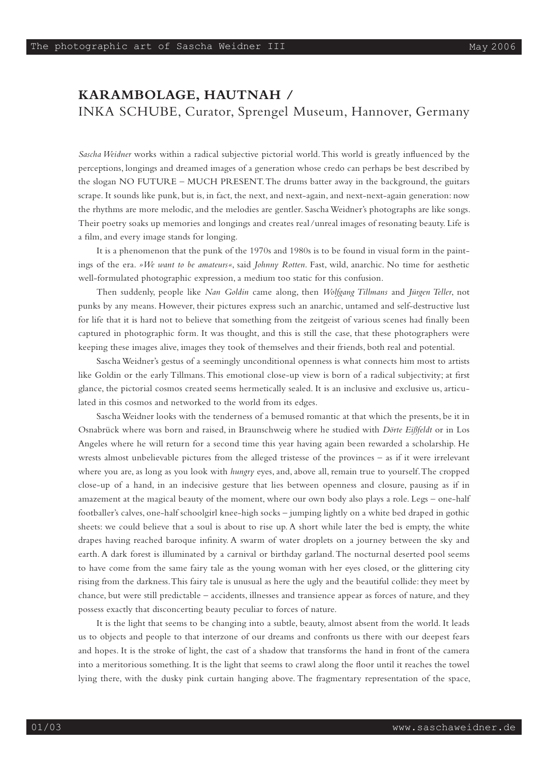## **KARAMBOLAGE, HAUTNAH /**  INKA SCHUBE, Curator, Sprengel Museum, Hannover, Germany

*Sascha Weidner* works within a radical subjective pictorial world. This world is greatly influenced by the perceptions, longings and dreamed images of a generation whose credo can perhaps be best described by the slogan NO FUTURE – MUCH PRESENT. The drums batter away in the background, the guitars scrape. It sounds like punk, but is, in fact, the next, and next-again, and next-next-again generation: now the rhythms are more melodic, and the melodies are gentler. Sascha Weidner's photographs are like songs. Their poetry soaks up memories and longings and creates real /unreal images of resonating beauty. Life is a film, and every image stands for longing.

It is a phenomenon that the punk of the 1970s and 1980s is to be found in visual form in the paintings of the era. *»We want to be amateurs«*, said *Johnny Rotten*. Fast, wild, anarchic. No time for aesthetic well-formulated photographic expression, a medium too static for this confusion.

Then suddenly, people like *Nan Goldin* came along, then *Wolfgang Tillmans* and *Jürgen Teller*, not punks by any means. However, their pictures express such an anarchic, untamed and self-destructive lust for life that it is hard not to believe that something from the zeitgeist of various scenes had finally been captured in photographic form. It was thought, and this is still the case, that these photographers were keeping these images alive, images they took of themselves and their friends, both real and potential.

Sascha Weidner's gestus of a seemingly unconditional openness is what connects him most to artists like Goldin or the early Tillmans. This emotional close-up view is born of a radical subjectivity; at first glance, the pictorial cosmos created seems hermetically sealed. It is an inclusive and exclusive us, articulated in this cosmos and networked to the world from its edges.

Sascha Weidner looks with the tenderness of a bemused romantic at that which the presents, be it in Osnabrück where was born and raised, in Braunschweig where he studied with *Dörte Eißfeldt* or in Los Angeles where he will return for a second time this year having again been rewarded a scholarship. He wrests almost unbelievable pictures from the alleged tristesse of the provinces – as if it were irrelevant where you are, as long as you look with *hungry* eyes, and, above all, remain true to yourself. The cropped close-up of a hand, in an indecisive gesture that lies between openness and closure, pausing as if in amazement at the magical beauty of the moment, where our own body also plays a role. Legs – one-half footballer's calves, one-half schoolgirl knee-high socks – jumping lightly on a white bed draped in gothic sheets: we could believe that a soul is about to rise up. A short while later the bed is empty, the white drapes having reached baroque infinity. A swarm of water droplets on a journey between the sky and earth. A dark forest is illuminated by a carnival or birthday garland. The nocturnal deserted pool seems to have come from the same fairy tale as the young woman with her eyes closed, or the glittering city rising from the darkness. This fairy tale is unusual as here the ugly and the beautiful collide: they meet by chance, but were still predictable – accidents, illnesses and transience appear as forces of nature, and they possess exactly that disconcerting beauty peculiar to forces of nature.

It is the light that seems to be changing into a subtle, beauty, almost absent from the world. It leads us to objects and people to that interzone of our dreams and confronts us there with our deepest fears and hopes. It is the stroke of light, the cast of a shadow that transforms the hand in front of the camera into a meritorious something. It is the light that seems to crawl along the floor until it reaches the towel lying there, with the dusky pink curtain hanging above. The fragmentary representation of the space,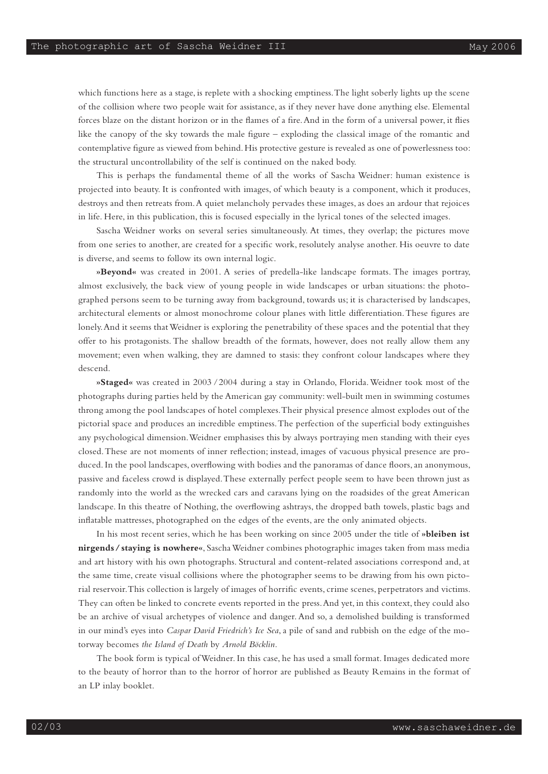which functions here as a stage, is replete with a shocking emptiness. The light soberly lights up the scene of the collision where two people wait for assistance, as if they never have done anything else. Elemental forces blaze on the distant horizon or in the flames of a fire. And in the form of a universal power, it flies like the canopy of the sky towards the male figure – exploding the classical image of the romantic and contemplative figure as viewed from behind. His protective gesture is revealed as one of powerlessness too: the structural uncontrollability of the self is continued on the naked body.

This is perhaps the fundamental theme of all the works of Sascha Weidner: human existence is projected into beauty. It is confronted with images, of which beauty is a component, which it produces, destroys and then retreats from. A quiet melancholy pervades these images, as does an ardour that rejoices in life. Here, in this publication, this is focused especially in the lyrical tones of the selected images.

Sascha Weidner works on several series simultaneously. At times, they overlap; the pictures move from one series to another, are created for a specific work, resolutely analyse another. His oeuvre to date is diverse, and seems to follow its own internal logic.

**»Beyond«** was created in 2001. A series of predella-like landscape formats. The images portray, almost exclusively, the back view of young people in wide landscapes or urban situations: the photographed persons seem to be turning away from background, towards us; it is characterised by landscapes, architectural elements or almost monochrome colour planes with little differentiation. These figures are lonely. And it seems that Weidner is exploring the penetrability of these spaces and the potential that they offer to his protagonists. The shallow breadth of the formats, however, does not really allow them any movement; even when walking, they are damned to stasis: they confront colour landscapes where they descend.

**»Staged«** was created in 2003 /2004 during a stay in Orlando, Florida. Weidner took most of the photographs during parties held by the American gay community: well-built men in swimming costumes throng among the pool landscapes of hotel complexes. Their physical presence almost explodes out of the pictorial space and produces an incredible emptiness. The perfection of the superficial body extinguishes any psychological dimension. Weidner emphasises this by always portraying men standing with their eyes closed. These are not moments of inner reflection; instead, images of vacuous physical presence are produced. In the pool landscapes, overflowing with bodies and the panoramas of dance floors, an anonymous, passive and faceless crowd is displayed. These externally perfect people seem to have been thrown just as randomly into the world as the wrecked cars and caravans lying on the roadsides of the great American landscape. In this theatre of Nothing, the overflowing ashtrays, the dropped bath towels, plastic bags and inflatable mattresses, photographed on the edges of the events, are the only animated objects.

In his most recent series, which he has been working on since 2005 under the title of **»bleiben ist nirgends/staying is nowhere«**, Sascha Weidner combines photographic images taken from mass media and art history with his own photographs. Structural and content-related associations correspond and, at the same time, create visual collisions where the photographer seems to be drawing from his own pictorial reservoir. This collection is largely of images of horrific events, crime scenes, perpetrators and victims. They can often be linked to concrete events reported in the press. And yet, in this context, they could also be an archive of visual archetypes of violence and danger. And so, a demolished building is transformed in our mind's eyes into *Caspar David Friedrich's Ice Sea*, a pile of sand and rubbish on the edge of the motorway becomes *the Island of Death* by *Arnold Böcklin.* 

The book form is typical of Weidner. In this case, he has used a small format. Images dedicated more to the beauty of horror than to the horror of horror are published as Beauty Remains in the format of an LP inlay booklet.